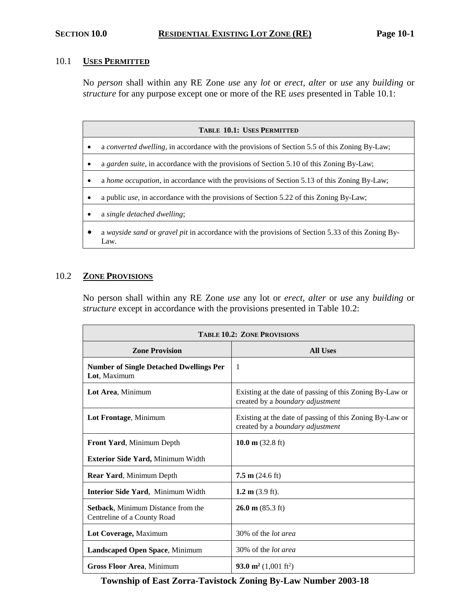## 10.1 **USES PERMITTED**

No *person* shall within any RE Zone *use* any *lot* or *erect, alter* or *use* any *building* or *structure* for any purpose except one or more of the RE *uses* presented in Table 10.1:

| <b>TABLE 10.1: USES PERMITTED</b> |                                                                                                           |  |  |
|-----------------------------------|-----------------------------------------------------------------------------------------------------------|--|--|
|                                   | a converted dwelling, in accordance with the provisions of Section 5.5 of this Zoning By-Law;             |  |  |
|                                   | a garden suite, in accordance with the provisions of Section 5.10 of this Zoning By-Law;                  |  |  |
|                                   | a home occupation, in accordance with the provisions of Section 5.13 of this Zoning By-Law;               |  |  |
|                                   | a public <i>use</i> , in accordance with the provisions of Section 5.22 of this Zoning By-Law;            |  |  |
|                                   | a single detached dwelling;                                                                               |  |  |
|                                   | a wayside sand or gravel pit in accordance with the provisions of Section 5.33 of this Zoning By-<br>Law. |  |  |

# 10.2 **ZONE PROVISIONS**

No person shall within any RE Zone *use* any lot or *erect, alter* or *use* any *building* or *structure* except in accordance with the provisions presented in Table 10.2:

| <b>TABLE 10.2: ZONE PROVISIONS</b>                                       |                                                                                              |  |
|--------------------------------------------------------------------------|----------------------------------------------------------------------------------------------|--|
| <b>Zone Provision</b>                                                    | <b>All Uses</b>                                                                              |  |
| <b>Number of Single Detached Dwellings Per</b><br>Lot, Maximum           | 1                                                                                            |  |
| Lot Area, Minimum                                                        | Existing at the date of passing of this Zoning By-Law or<br>created by a boundary adjustment |  |
| Lot Frontage, Minimum                                                    | Existing at the date of passing of this Zoning By-Law or<br>created by a boundary adjustment |  |
| Front Yard, Minimum Depth                                                | $10.0 \text{ m}$ (32.8 ft)                                                                   |  |
| Exterior Side Yard, Minimum Width                                        |                                                                                              |  |
| Rear Yard, Minimum Depth                                                 | $7.5 \text{ m}$ (24.6 ft)                                                                    |  |
| <b>Interior Side Yard, Minimum Width</b>                                 | 1.2 m $(3.9 \text{ ft})$ .                                                                   |  |
| <b>Setback, Minimum Distance from the</b><br>Centreline of a County Road | $26.0 \text{ m} (85.3 \text{ ft})$                                                           |  |
| Lot Coverage, Maximum                                                    | 30% of the <i>lot area</i>                                                                   |  |
| Landscaped Open Space, Minimum                                           | 30% of the <i>lot area</i>                                                                   |  |
| <b>Gross Floor Area, Minimum</b>                                         | 93.0 m <sup>2</sup> (1,001 ft <sup>2</sup> )                                                 |  |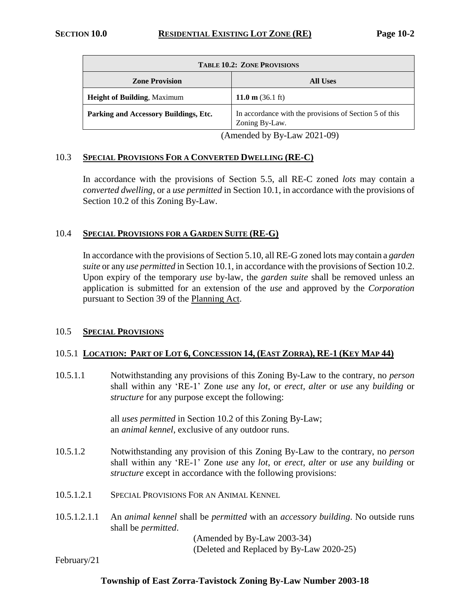| <b>TABLE 10.2: ZONE PROVISIONS</b>              |                                                                          |  |
|-------------------------------------------------|--------------------------------------------------------------------------|--|
| <b>Zone Provision</b>                           | <b>All Uses</b>                                                          |  |
| <b>Height of Building, Maximum</b>              | 11.0 m $(36.1 \text{ ft})$                                               |  |
| Parking and Accessory Buildings, Etc.           | In accordance with the provisions of Section 5 of this<br>Zoning By-Law. |  |
| (Amondod by $\overline{D}_V$ I over $2021.00$ ) |                                                                          |  |

(Amended by By-Law 2021-09)

## 10.3 **SPECIAL PROVISIONS FOR A CONVERTED DWELLING (RE-C)**

In accordance with the provisions of Section 5.5, all RE-C zoned *lots* may contain a *converted dwelling*, or a *use permitted* in Section 10.1, in accordance with the provisions of Section 10.2 of this Zoning By-Law.

## 10.4 **SPECIAL PROVISIONS FOR A GARDEN SUITE (RE-G)**

In accordance with the provisions of Section 5.10, all RE-G zoned lots may contain a *garden suite* or any *use permitted* in Section 10.1, in accordance with the provisions of Section 10.2. Upon expiry of the temporary *use* by-law, the *garden suite* shall be removed unless an application is submitted for an extension of the *use* and approved by the *Corporation* pursuant to Section 39 of the Planning Act.

## 10.5 **SPECIAL PROVISIONS**

## 10.5.1 LOCATION: PART OF LOT 6, CONCESSION 14, (EAST ZORRA), RE-1 (KEY MAP 44)

10.5.1.1 Notwithstanding any provisions of this Zoning By-Law to the contrary, no *person* shall within any 'RE-1' Zone *use* any *lot*, or *erect, alter* or *use* any *building* or *structure* for any purpose except the following:

> all *uses permitted* in Section 10.2 of this Zoning By-Law; an *animal kennel*, exclusive of any outdoor runs.

- 10.5.1.2 Notwithstanding any provision of this Zoning By-Law to the contrary, no *person* shall within any 'RE-1' Zone *use* any *lot*, or *erect, alter* or *use* any *building* or *structure* except in accordance with the following provisions:
- 10.5.1.2.1 SPECIAL PROVISIONS FOR AN ANIMAL KENNEL
- 10.5.1.2.1.1 An *animal kennel* shall be *permitted* with an *accessory building*. No outside runs shall be *permitted*.

(Amended by By-Law 2003-34) (Deleted and Replaced by By-Law 2020-25)

February/21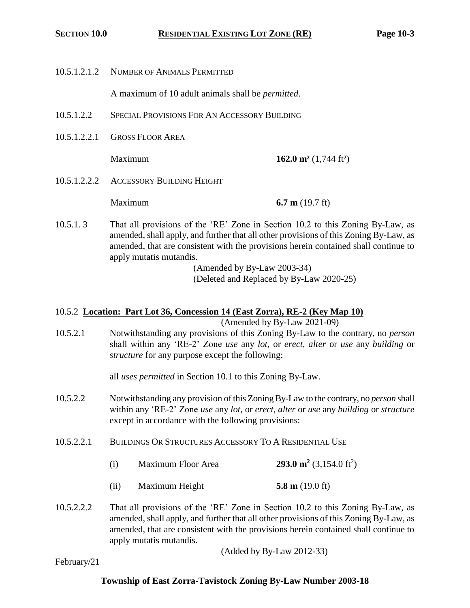10.5.1.2.1.2 NUMBER OF ANIMALS PERMITTED

A maximum of 10 adult animals shall be *permitted*.

- 10.5.1.2.2 SPECIAL PROVISIONS FOR AN ACCESSORY BUILDING
- 10.5.1.2.2.1 GROSS FLOOR AREA

Maximum **162.0 m²** (1,744 ft²)

10.5.1.2.2.2 ACCESSORY BUILDING HEIGHT

Maximum **6.7 m** (19.7 ft)

10.5.1. 3 That all provisions of the 'RE' Zone in Section 10.2 to this Zoning By-Law, as amended, shall apply, and further that all other provisions of this Zoning By-Law, as amended, that are consistent with the provisions herein contained shall continue to apply mutatis mutandis.

> (Amended by By-Law 2003-34) (Deleted and Replaced by By-Law 2020-25)

# 10.5.2 **Location: Part Lot 36, Concession 14 (East Zorra), RE-2 (Key Map 10)**

(Amended by By-Law 2021-09)

10.5.2.1 Notwithstanding any provisions of this Zoning By-Law to the contrary, no *person* shall within any 'RE-2' Zone *use* any *lot*, or *erect*, *alter* or *use* any *building* or *structure* for any purpose except the following:

all *uses permitted* in Section 10.1 to this Zoning By-Law.

- 10.5.2.2 Notwithstanding any provision of this Zoning By-Law to the contrary, no *person* shall within any 'RE-2' Zone *use* any *lot*, or *erect*, *alter* or *use* any *building* or *structure* except in accordance with the following provisions:
- 10.5.2.2.1 BUILDINGS OR STRUCTURES ACCESSORY TO A RESIDENTIAL USE
	- (i) Maximum Floor Area **293.0 m<sup>2</sup>**  $(3,154.0 \text{ ft}^2)$
	- (ii) Maximum Height **5.8 m** (19.0 ft)
- 10.5.2.2.2 That all provisions of the 'RE' Zone in Section 10.2 to this Zoning By-Law, as amended, shall apply, and further that all other provisions of this Zoning By-Law, as amended, that are consistent with the provisions herein contained shall continue to apply mutatis mutandis.

(Added by By-Law 2012-33)

February/21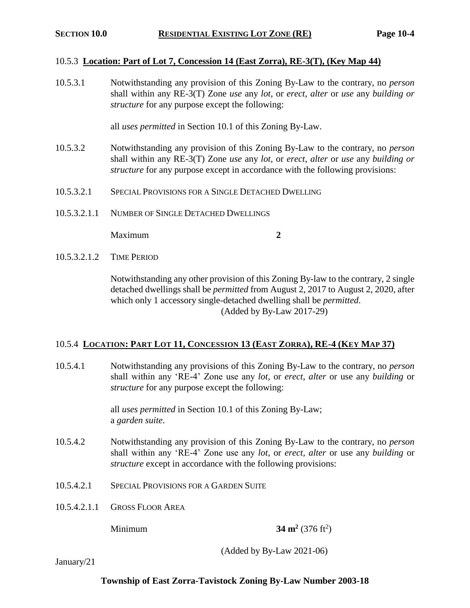## 10.5.3 **Location: Part of Lot 7, Concession 14 (East Zorra), RE-3(T), (Key Map 44)**

10.5.3.1 Notwithstanding any provision of this Zoning By-Law to the contrary, no *person* shall within any RE-3(T) Zone *use* any *lot*, or *erect*, *alter* or *use* any *building or structure* for any purpose except the following:

all *uses permitted* in Section 10.1 of this Zoning By-Law.

- 10.5.3.2 Notwithstanding any provision of this Zoning By-Law to the contrary, no *person* shall within any RE-3(T) Zone *use* any *lot*, or *erect*, *alter* or *use* any *building or structure* for any purpose except in accordance with the following provisions:
- 10.5.3.2.1 SPECIAL PROVISIONS FOR A SINGLE DETACHED DWELLING
- 10.5.3.2.1.1 NUMBER OF SINGLE DETACHED DWELLINGS

Maximum **2** 

10.5.3.2.1.2 TIME PERIOD

Notwithstanding any other provision of this Zoning By-law to the contrary, 2 single detached dwellings shall be *permitted* from August 2, 2017 to August 2, 2020, after which only 1 accessory single-detached dwelling shall be *permitted*. (Added by By-Law 2017-29)

## 10.5.4 LOCATION: PART LOT 11, CONCESSION 13 (EAST ZORRA), RE-4 (KEY MAP 37)

10.5.4.1 Notwithstanding any provisions of this Zoning By-Law to the contrary, no *person* shall within any 'RE-4' Zone use any *lot*, or *erect*, *alter* or use any *building* or *structure* for any purpose except the following:

> all *uses permitted* in Section 10.1 of this Zoning By-Law; a *garden suite*.

- 10.5.4.2 Notwithstanding any provision of this Zoning By-Law to the contrary, no *person* shall within any 'RE-4' Zone use any *lot*, or *erect, alter* or use any *building* or *structure* except in accordance with the following provisions:
- 10.5.4.2.1 SPECIAL PROVISIONS FOR A GARDEN SUITE
- 10.5.4.2.1.1 GROSS FLOOR AREA

Minimum **34 m<sup>2</sup>**

 $(376 \text{ ft}^2)$ 

(Added by By-Law 2021-06)

January/21